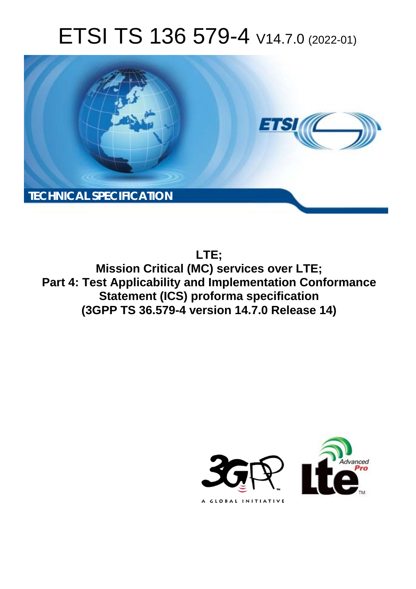# ETSI TS 136 579-4 V14.7.0 (2022-01)



**LTE;**

**Mission Critical (MC) services over LTE; Part 4: Test Applicability and Implementation Conformance Statement (ICS) proforma specification (3GPP TS 36.579-4 version 14.7.0 Release 14)** 

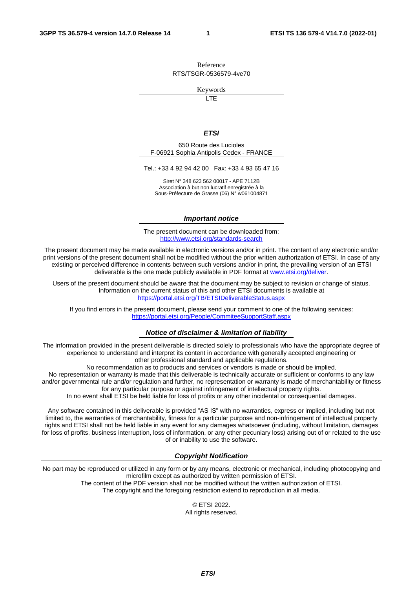Reference RTS/TSGR-0536579-4ve70

Keywords

 $\overline{\mathsf{ITF}}$ 

#### *ETSI*

650 Route des Lucioles F-06921 Sophia Antipolis Cedex - FRANCE

Tel.: +33 4 92 94 42 00 Fax: +33 4 93 65 47 16

Siret N° 348 623 562 00017 - APE 7112B Association à but non lucratif enregistrée à la Sous-Préfecture de Grasse (06) N° w061004871

#### *Important notice*

The present document can be downloaded from: <http://www.etsi.org/standards-search>

The present document may be made available in electronic versions and/or in print. The content of any electronic and/or print versions of the present document shall not be modified without the prior written authorization of ETSI. In case of any existing or perceived difference in contents between such versions and/or in print, the prevailing version of an ETSI deliverable is the one made publicly available in PDF format at [www.etsi.org/deliver](http://www.etsi.org/deliver).

Users of the present document should be aware that the document may be subject to revision or change of status. Information on the current status of this and other ETSI documents is available at <https://portal.etsi.org/TB/ETSIDeliverableStatus.aspx>

If you find errors in the present document, please send your comment to one of the following services: <https://portal.etsi.org/People/CommiteeSupportStaff.aspx>

#### *Notice of disclaimer & limitation of liability*

The information provided in the present deliverable is directed solely to professionals who have the appropriate degree of experience to understand and interpret its content in accordance with generally accepted engineering or other professional standard and applicable regulations.

No recommendation as to products and services or vendors is made or should be implied.

No representation or warranty is made that this deliverable is technically accurate or sufficient or conforms to any law and/or governmental rule and/or regulation and further, no representation or warranty is made of merchantability or fitness for any particular purpose or against infringement of intellectual property rights.

In no event shall ETSI be held liable for loss of profits or any other incidental or consequential damages.

Any software contained in this deliverable is provided "AS IS" with no warranties, express or implied, including but not limited to, the warranties of merchantability, fitness for a particular purpose and non-infringement of intellectual property rights and ETSI shall not be held liable in any event for any damages whatsoever (including, without limitation, damages for loss of profits, business interruption, loss of information, or any other pecuniary loss) arising out of or related to the use of or inability to use the software.

### *Copyright Notification*

No part may be reproduced or utilized in any form or by any means, electronic or mechanical, including photocopying and microfilm except as authorized by written permission of ETSI. The content of the PDF version shall not be modified without the written authorization of ETSI.

The copyright and the foregoing restriction extend to reproduction in all media.

© ETSI 2022. All rights reserved.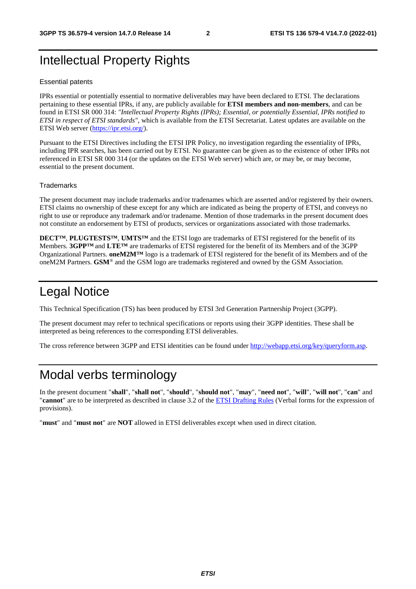## Intellectual Property Rights

#### Essential patents

IPRs essential or potentially essential to normative deliverables may have been declared to ETSI. The declarations pertaining to these essential IPRs, if any, are publicly available for **ETSI members and non-members**, and can be found in ETSI SR 000 314: *"Intellectual Property Rights (IPRs); Essential, or potentially Essential, IPRs notified to ETSI in respect of ETSI standards"*, which is available from the ETSI Secretariat. Latest updates are available on the ETSI Web server ([https://ipr.etsi.org/\)](https://ipr.etsi.org/).

Pursuant to the ETSI Directives including the ETSI IPR Policy, no investigation regarding the essentiality of IPRs, including IPR searches, has been carried out by ETSI. No guarantee can be given as to the existence of other IPRs not referenced in ETSI SR 000 314 (or the updates on the ETSI Web server) which are, or may be, or may become, essential to the present document.

### **Trademarks**

The present document may include trademarks and/or tradenames which are asserted and/or registered by their owners. ETSI claims no ownership of these except for any which are indicated as being the property of ETSI, and conveys no right to use or reproduce any trademark and/or tradename. Mention of those trademarks in the present document does not constitute an endorsement by ETSI of products, services or organizations associated with those trademarks.

**DECT™**, **PLUGTESTS™**, **UMTS™** and the ETSI logo are trademarks of ETSI registered for the benefit of its Members. **3GPP™** and **LTE™** are trademarks of ETSI registered for the benefit of its Members and of the 3GPP Organizational Partners. **oneM2M™** logo is a trademark of ETSI registered for the benefit of its Members and of the oneM2M Partners. **GSM**® and the GSM logo are trademarks registered and owned by the GSM Association.

### Legal Notice

This Technical Specification (TS) has been produced by ETSI 3rd Generation Partnership Project (3GPP).

The present document may refer to technical specifications or reports using their 3GPP identities. These shall be interpreted as being references to the corresponding ETSI deliverables.

The cross reference between 3GPP and ETSI identities can be found under<http://webapp.etsi.org/key/queryform.asp>.

### Modal verbs terminology

In the present document "**shall**", "**shall not**", "**should**", "**should not**", "**may**", "**need not**", "**will**", "**will not**", "**can**" and "**cannot**" are to be interpreted as described in clause 3.2 of the [ETSI Drafting Rules](https://portal.etsi.org/Services/editHelp!/Howtostart/ETSIDraftingRules.aspx) (Verbal forms for the expression of provisions).

"**must**" and "**must not**" are **NOT** allowed in ETSI deliverables except when used in direct citation.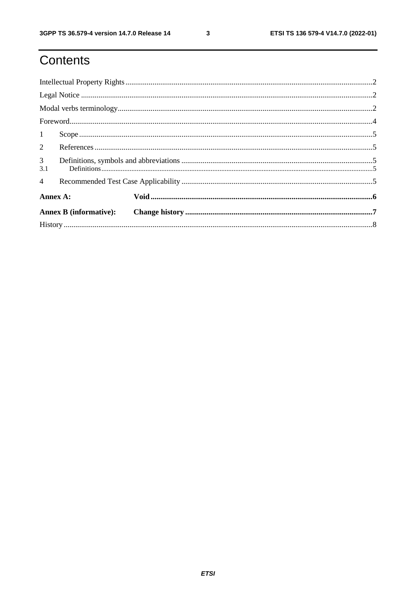$\mathbf{3}$ 

# Contents

| 1                     |  |  |  |  |  |  |  |
|-----------------------|--|--|--|--|--|--|--|
|                       |  |  |  |  |  |  |  |
| 3 <sup>7</sup><br>3.1 |  |  |  |  |  |  |  |
| $\overline{4}$        |  |  |  |  |  |  |  |
| Annex A:              |  |  |  |  |  |  |  |
|                       |  |  |  |  |  |  |  |
|                       |  |  |  |  |  |  |  |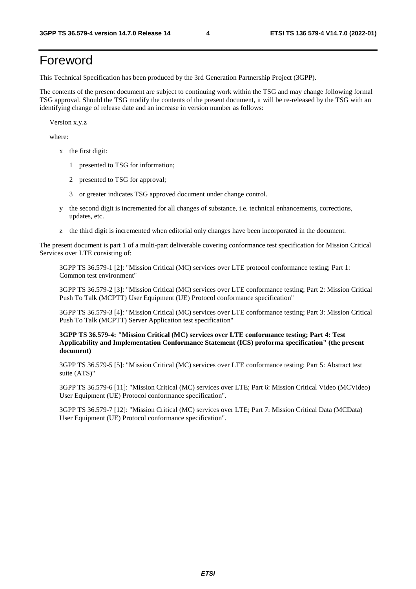# Foreword

This Technical Specification has been produced by the 3rd Generation Partnership Project (3GPP).

The contents of the present document are subject to continuing work within the TSG and may change following formal TSG approval. Should the TSG modify the contents of the present document, it will be re-released by the TSG with an identifying change of release date and an increase in version number as follows:

Version x.y.z

where:

- x the first digit:
	- 1 presented to TSG for information;
	- 2 presented to TSG for approval;
	- 3 or greater indicates TSG approved document under change control.
- y the second digit is incremented for all changes of substance, i.e. technical enhancements, corrections, updates, etc.
- z the third digit is incremented when editorial only changes have been incorporated in the document.

The present document is part 1 of a multi-part deliverable covering conformance test specification for Mission Critical Services over LTE consisting of:

 3GPP TS 36.579-1 [2]: "Mission Critical (MC) services over LTE protocol conformance testing; Part 1: Common test environment"

 3GPP TS 36.579-2 [3]: "Mission Critical (MC) services over LTE conformance testing; Part 2: Mission Critical Push To Talk (MCPTT) User Equipment (UE) Protocol conformance specification"

 3GPP TS 36.579-3 [4]: "Mission Critical (MC) services over LTE conformance testing; Part 3: Mission Critical Push To Talk (MCPTT) Server Application test specification"

### **3GPP TS 36.579-4: "Mission Critical (MC) services over LTE conformance testing; Part 4: Test Applicability and Implementation Conformance Statement (ICS) proforma specification" (the present document)**

 3GPP TS 36.579-5 [5]: "Mission Critical (MC) services over LTE conformance testing; Part 5: Abstract test suite (ATS)"

 3GPP TS 36.579-6 [11]: "Mission Critical (MC) services over LTE; Part 6: Mission Critical Video (MCVideo) User Equipment (UE) Protocol conformance specification".

 3GPP TS 36.579-7 [12]: "Mission Critical (MC) services over LTE; Part 7: Mission Critical Data (MCData) User Equipment (UE) Protocol conformance specification".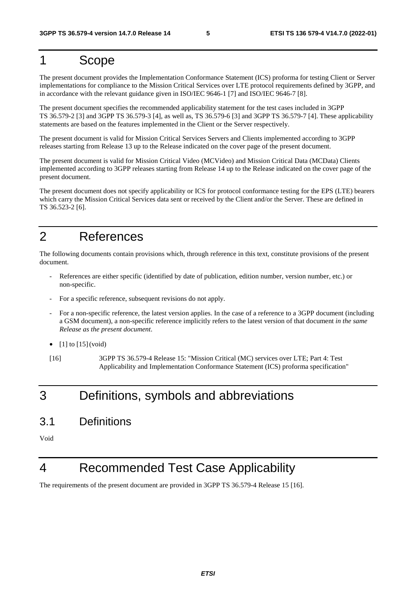### 1 Scope

The present document provides the Implementation Conformance Statement (ICS) proforma for testing Client or Server implementations for compliance to the Mission Critical Services over LTE protocol requirements defined by 3GPP, and in accordance with the relevant guidance given in ISO/IEC 9646-1 [7] and ISO/IEC 9646-7 [8].

The present document specifies the recommended applicability statement for the test cases included in 3GPP TS 36.579-2 [3] and 3GPP TS 36.579-3 [4], as well as, TS 36.579-6 [3] and 3GPP TS 36.579-7 [4]. These applicability statements are based on the features implemented in the Client or the Server respectively.

The present document is valid for Mission Critical Services Servers and Clients implemented according to 3GPP releases starting from Release 13 up to the Release indicated on the cover page of the present document.

The present document is valid for Mission Critical Video (MCVideo) and Mission Critical Data (MCData) Clients implemented according to 3GPP releases starting from Release 14 up to the Release indicated on the cover page of the present document.

The present document does not specify applicability or ICS for protocol conformance testing for the EPS (LTE) bearers which carry the Mission Critical Services data sent or received by the Client and/or the Server. These are defined in TS 36.523-2 [6].

# 2 References

The following documents contain provisions which, through reference in this text, constitute provisions of the present document.

- References are either specific (identified by date of publication, edition number, version number, etc.) or non-specific.
- For a specific reference, subsequent revisions do not apply.
- For a non-specific reference, the latest version applies. In the case of a reference to a 3GPP document (including a GSM document), a non-specific reference implicitly refers to the latest version of that document *in the same Release as the present document*.
- $[1]$  to  $[15]$  (void)
- [16] 3GPP TS 36.579-4 Release 15: "Mission Critical (MC) services over LTE; Part 4: Test Applicability and Implementation Conformance Statement (ICS) proforma specification"

## 3 Definitions, symbols and abbreviations

3.1 Definitions

Void

### 4 Recommended Test Case Applicability

The requirements of the present document are provided in 3GPP TS 36.579-4 Release 15 [16].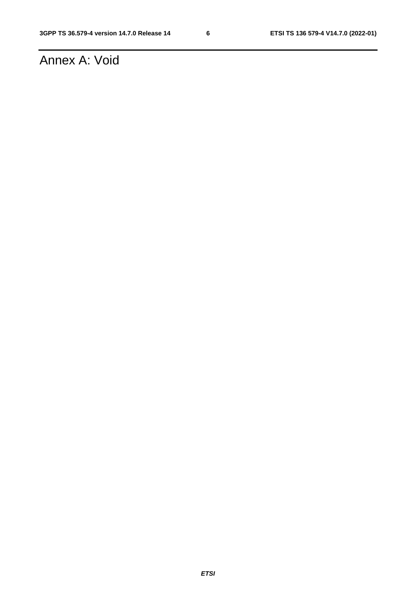# Annex A: Void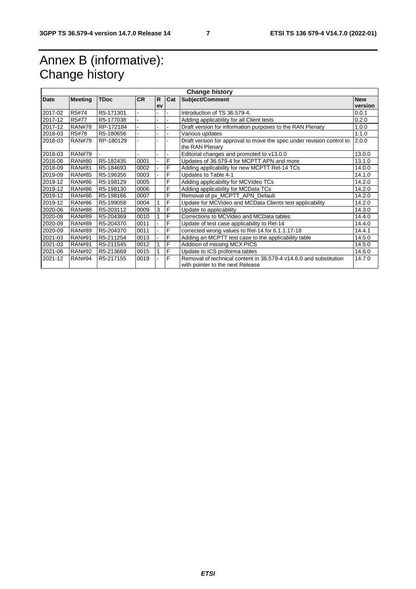# Annex B (informative): Change history

| <b>Change history</b> |                |             |           |    |     |                                                                                          |            |  |  |
|-----------------------|----------------|-------------|-----------|----|-----|------------------------------------------------------------------------------------------|------------|--|--|
| Date                  | <b>Meeting</b> | <b>TDoc</b> | <b>CR</b> | R. | Cat | Subject/Comment                                                                          | <b>New</b> |  |  |
|                       |                |             |           | ev |     |                                                                                          | version    |  |  |
| 2017-02               | R5#74          | R5-171301   |           |    |     | Introduction of TS 36.579-4.                                                             | 0.0.1      |  |  |
| 2017-12               | R5#77          | R5-177038   |           |    |     | Adding applicability for all Client tests                                                | 0.2.0      |  |  |
| 2017-12               | <b>RAN#78</b>  | RP-172184   |           |    |     | Draft version for information purposes to the RAN Plenary                                | 1.0.0      |  |  |
| 2018-03               | R5#78          | R5-180656   |           |    |     | Various updates                                                                          | 1.1.0      |  |  |
| 2018-03               | <b>RAN#79</b>  | RP-180129   |           |    |     | Draft version for approval to move the spec under revision control to<br>the RAN Plenary | 2.0.0      |  |  |
| 2018-03               | <b>RAN#79</b>  |             |           |    |     | Editorial changes and promoted to v13.0.0                                                | 13.0.0     |  |  |
| 2018-06               | <b>RAN#80</b>  | R5-182435   | 0001      |    | F   | Updates of 36.579-4 for MCPTT APN and more                                               | 13.1.0     |  |  |
| 2018-09               | <b>RAN#81</b>  | R5-184693   | 0002      |    | F   | Adding applicability for new MCPTT Rel-14 TCs                                            | 14.0.0     |  |  |
| 2019-09               | <b>RAN#85</b>  | R5-196356   | 0003      |    | F   | Updates to Table 4-1                                                                     | 14.1.0     |  |  |
| 2019-12               | <b>RAN#86</b>  | R5-198129   | 0005      |    | F   | Adding applicability for MCVideo TCs                                                     | 14.2.0     |  |  |
| 2019-12               | <b>RAN#86</b>  | R5-198130   | 0006      |    | F   | Adding applicability for MCData TCs                                                      | 14.2.0     |  |  |
| 2019-12               | <b>RAN#86</b>  | R5-198166   | 0007      |    | F   | Removal of px MCPTT APN Default                                                          | 14.2.0     |  |  |
| 2019-12               | <b>RAN#86</b>  | R5-199058   | 0004      | 1  | F   | Update for MCVideo and MCData Clients test applicability                                 | 14.2.0     |  |  |
| 2020-06               | <b>RAN#88</b>  | R5-203112   | 0009      | 3  | F   | Update to applicability                                                                  | 14.3.0     |  |  |
| 2020-09               | <b>RAN#89</b>  | R5-204369   | 0010      |    | F   | Corrections to MCVideo and MCData tables                                                 | 14.4.0     |  |  |
| 2020-09               | <b>RAN#89</b>  | R5-204370   | 0011      |    | F   | Update of test case applicability to Rel-14                                              | 14.4.0     |  |  |
| 2020-09               | <b>RAN#89</b>  | R5-204370   | 0011      |    | F   | corrected wrong values to Rel-14 for 6.1.1.17-18                                         | 14.4.1     |  |  |
| 2021-03               | <b>RAN#91</b>  | R5-211254   | 0013      |    | F   | Adding an MCPTT test case to the applicability table                                     | 14.5.0     |  |  |
| 2021-03               | <b>RAN#91</b>  | R5-211545   | 0012      |    | F   | Addition of missing MCX PICS                                                             | 14.5.0     |  |  |
| 2021-06               | <b>RAN#92</b>  | R5-213669   | 0015      |    | F   | Update to ICS proforma tables                                                            | 14.6.0     |  |  |
| 2021-12               | <b>RAN#94</b>  | R5-217155   | 0019      |    | F   | Removal of technical content in 36.579-4 v14.6.0 and substitution                        | 14.7.0     |  |  |
|                       |                |             |           |    |     | with pointer to the next Release                                                         |            |  |  |